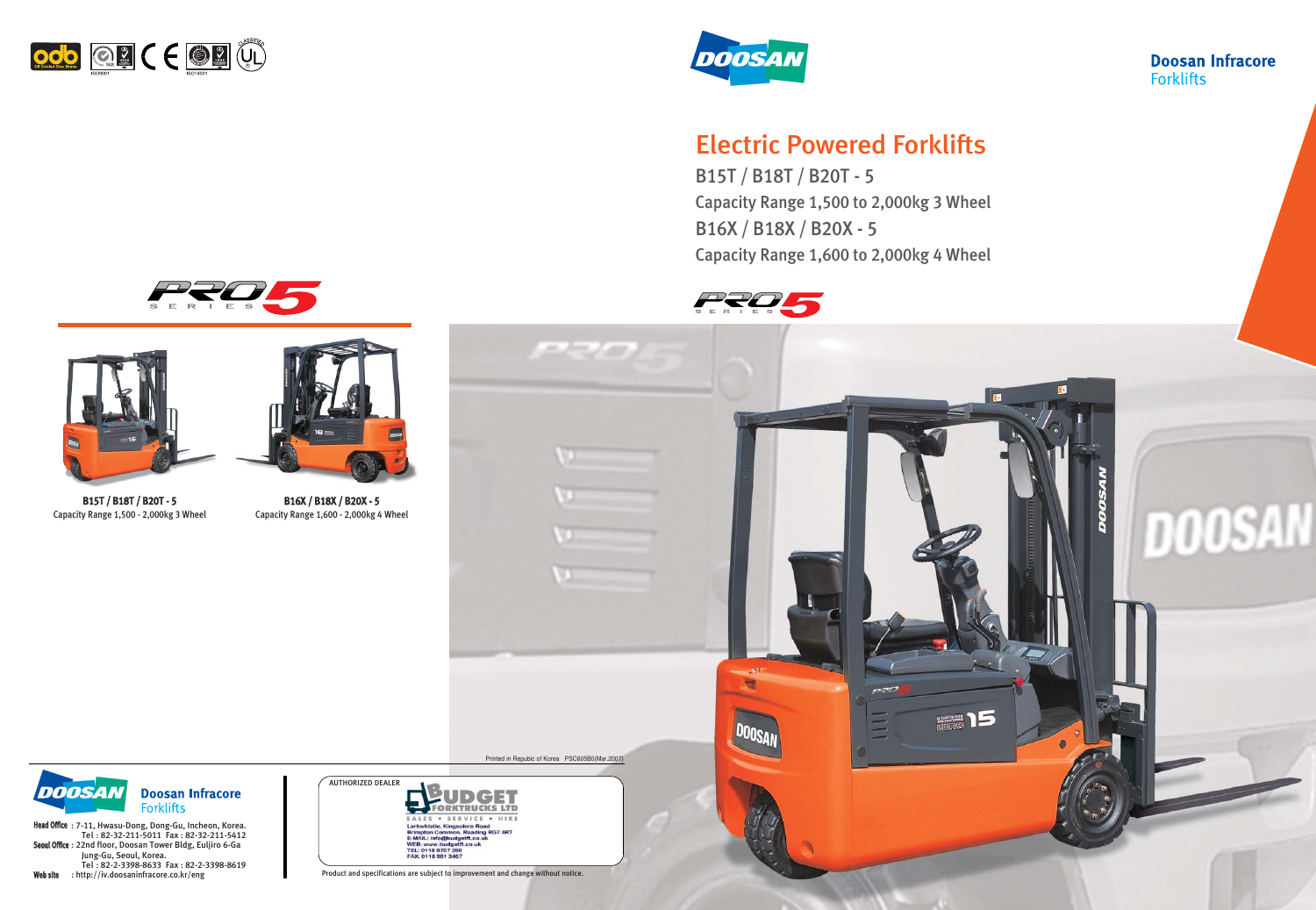

Printed in Repubic of Korea PSC605B0(Mar.2007)

**PERMIT** 



Head Office: 7-11, Hwasu-Dong, Dong-Gu, Incheon, Korea. Tel : 82-32-211-5011 Fax : 82-32-211-5412 Seoul Office : 22nd floor, Doosan Tower Bldg, Euljiro 6-Ga Jung-Gu, Seoul, Korea. Tel : 82-2-3398-8633 Fax : 82-2-3398-8619 Web site : http://iv.doosaninfracore.co.kr/eng

Product and specifications are subject to improvement and change without notice.

### **Doosan Infracore Forklifts**



## Electric Powered Forklifts

B15T / B18T / B20T - 5 Capacity Range 1,500 to 2,000kg 3 Wheel B16X / B18X / B20X - 5 Capacity Range 1,600 to 2,000kg 4 Wheel



 $\overline{\phantom{a}}$ 









B15T / B18T / B20T - 5 Capacity Range 1,500 - 2,000kg 3 Wheel



B16X / B18X / B20X - 5 Capacity Range 1,600 - 2,000kg 4 Wheel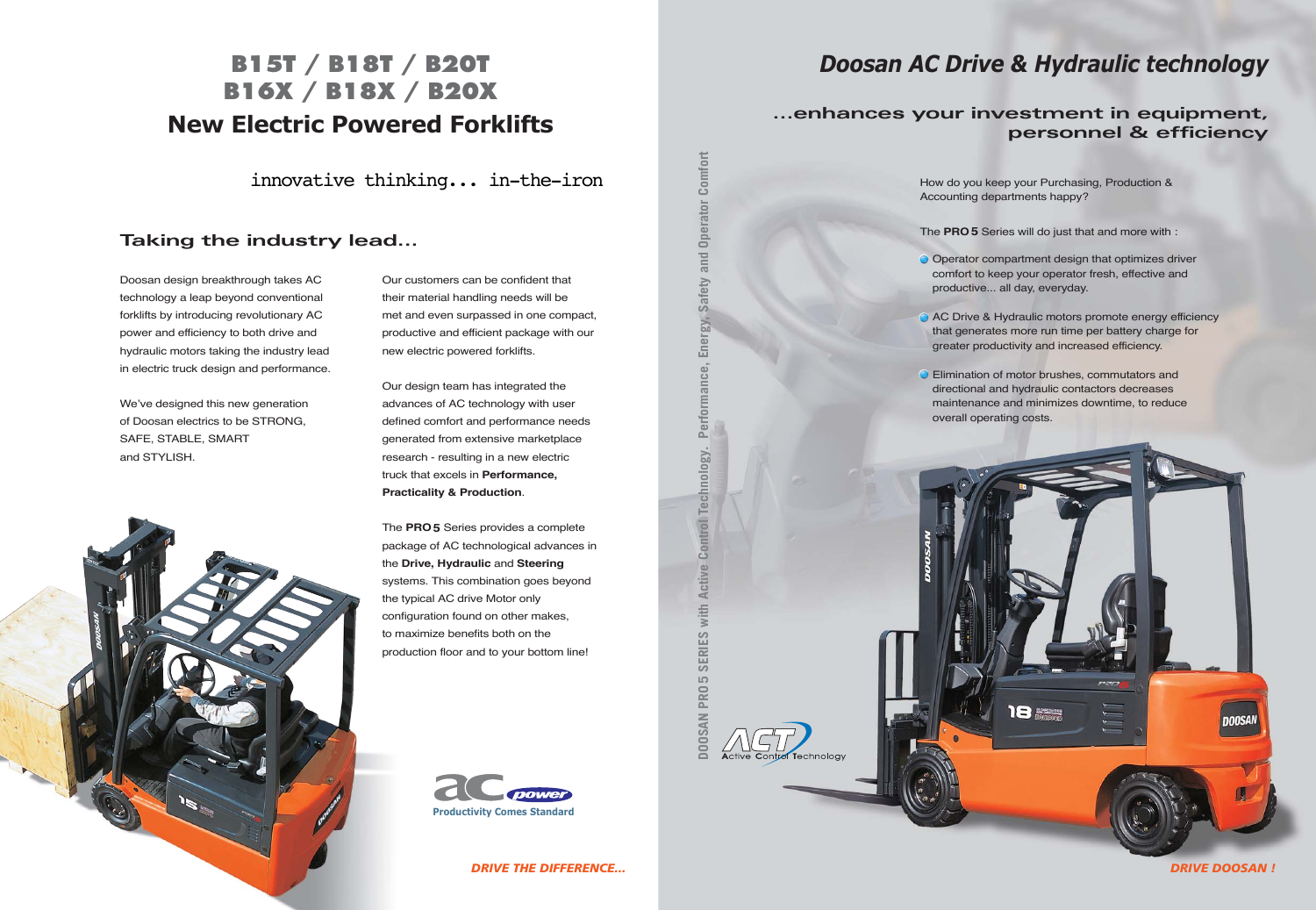Doosan design breakthrough takes AC technology a leap beyond conventional forklifts by introducing revolutionary AC power and efficiency to both drive and hydraulic motors taking the industry lead in electric truck design and performance.

We've designed this new generation of Doosan electrics to be STRONG, SAFE, STABLE, SMART and STYLISH.



Our customers can be confident that their material handling needs will be met and even surpassed in one compact, productive and efficient package with our new electric powered forklifts.

Our design team has integrated the advances of AC technology with user defined comfort and performance needs generated from extensive marketplace research - resulting in a new electric truck that excels in **Performance, Practicality & Production**.

O Operator compartment design that optimizes driver comfort to keep your operator fresh, effective and productive... all day, everyday.

AC Drive & Hydraulic motors promote energy efficiency that generates more run time per battery charge for greater productivity and increased efficiency.

**O** Elimination of motor brushes, commutators and directional and hydraulic contactors decreases maintenance and minimizes downtime, to reduce



The **PRO5** Series provides a complete package of AC technological advances in the **Drive, Hydraulic** and **Steering** systems. This combination goes beyond the typical AC drive Motor only configuration found on other makes, to maximize benefits both on the production floor and to your bottom line!

How do you keep your Purchasing, Production & Accounting departments happy?

The **PRO5** Series will do just that and more with :

- 
- 
- overall operating costs.

## **Taking the industry lead...**

## **New Electric Powered Forklifts B15T / B18T / B20T B16X / B18X / B20X**

innovative thinking... in-the-iron

## *Doosan AC Drive & Hydraulic technology*

## **...enhances your investment in equipment, personnel & efficiency**





Technology

*DRIVE THE DIFFERENCE... DRIVE DOOSAN !*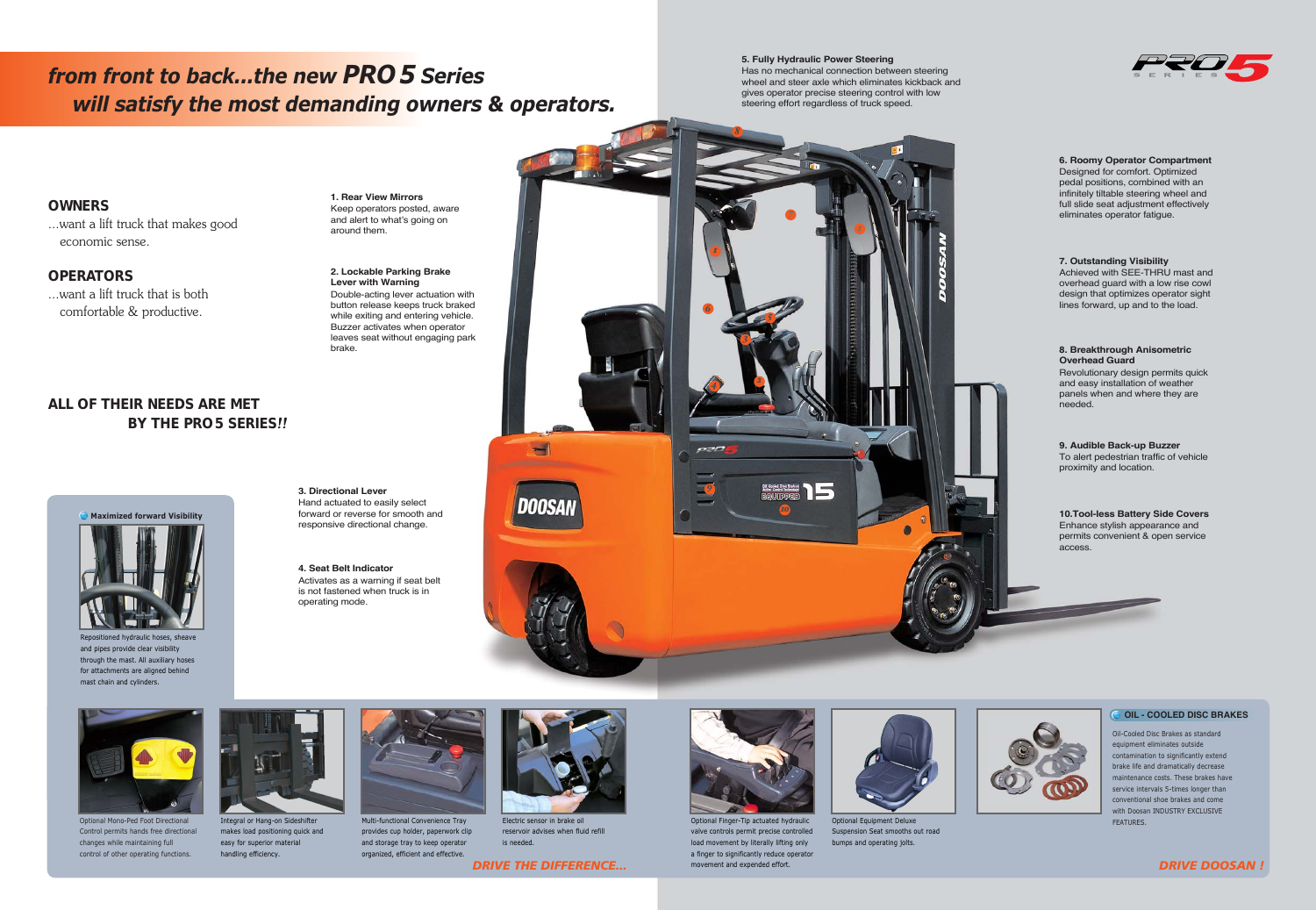### **OWNERS**

...want a lift truck that makes good economic sense.

### **OPERATORS**

...want a lift truck that is both comfortable & productive.

## **ALL OF THEIR NEEDS ARE MET BY THE PRO 5 SERIES***!!*



#### *1. Rear View Mirrors* Keep operators posted, aware and alert to what's going on around them.

*6. Roomy Operator Compartment*  Designed for comfort. Optimized pedal positions, combined with an infinitely tiltable steering wheel and full slide seat adjustment effectively eliminates operator fatigue.

#### *7. Outstanding Visibility*

Achieved with SEE-THRU mast and overhead guard with a low rise cowl design that optimizes operator sight lines forward, up and to the load.

#### *8. Breakthrough Anisometric Overhead Guard*

Revolutionary design permits quick and easy installation of weather panels when and where they are needed.

#### *9. Audible Back-up Buzzer*

To alert pedestrian traffic of vehicle proximity and location.

*10.Tool-less Battery Side Covers* Enhance stylish appearance and permits convenient & open service access.



### **O OIL - COOLED DISC BRAKES**



Optional Finger-Tip actuated hydraulic valve controls permit precise controlled load movement by literally lifting only a finger to significantly reduce operator movement and expended effort. **DRIVE THE DIFFERENCE...** *DRIVE DOOSAN !* 

#### *2. Lockable Parking Brake Lever with Warning* Double-acting lever actuation with button release keeps truck braked while exiting and entering vehicle. Buzzer activates when operator leaves seat without engaging park brake.

Oil-Cooled Disc Brakes as standard equipment eliminates outside contamination to significantly extend brake life and dramatically decrease maintenance costs. These brakes have service intervals 5-times longer than conventional shoe brakes and come with Doosan INDUSTRY EXCLUSIVE **FEATURES** 



#### *3. Directional Lever* Hand actuated to easily select forward or reverse for smooth and responsive directional change.

*4. Seat Belt Indicator* Activates as a warning if seat belt is not fastened when truck is in operating mode.

## *from front to back...the new PRO 5 Series will satisfy the most demanding owners & operators.*

*5. Fully Hydraulic Power Steering* Has no mechanical connection between steering wheel and steer axle which eliminates kickback and gives operator precise steering control with low steering effort regardless of truck speed.



Optional Mono-Ped Foot Directional Control permits hands free directional changes while maintaining full control of other operating functions.



Integral or Hang-on Sideshifter makes load positioning quick and easy for superior material handling efficiency.



Multi-functional Convenience Tray provides cup holder, paperwork clip and storage tray to keep operator organized, efficient and effective.



Electric sensor in brake oil reservoir advises when fluid refill is needed.



Optional Equipment Deluxe Suspension Seat smooths out road bumps and operating jolts.





Repositioned hydraulic hoses, sheave and pipes provide clear visibility through the mast. All auxiliary hoses for attachments are aligned behind mast chain and cylinders.